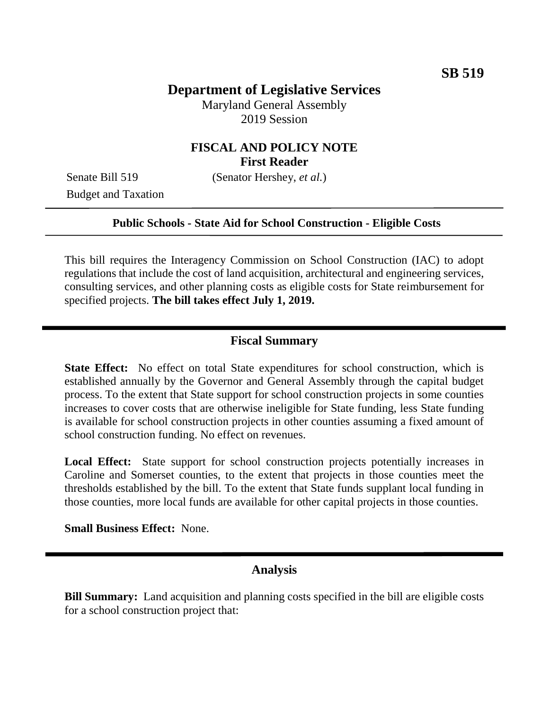# **Department of Legislative Services**

Maryland General Assembly 2019 Session

## **FISCAL AND POLICY NOTE First Reader**

Budget and Taxation

Senate Bill 519 (Senator Hershey, *et al.*)

#### **Public Schools - State Aid for School Construction - Eligible Costs**

This bill requires the Interagency Commission on School Construction (IAC) to adopt regulations that include the cost of land acquisition, architectural and engineering services, consulting services, and other planning costs as eligible costs for State reimbursement for specified projects. **The bill takes effect July 1, 2019.**

#### **Fiscal Summary**

**State Effect:** No effect on total State expenditures for school construction, which is established annually by the Governor and General Assembly through the capital budget process. To the extent that State support for school construction projects in some counties increases to cover costs that are otherwise ineligible for State funding, less State funding is available for school construction projects in other counties assuming a fixed amount of school construction funding. No effect on revenues.

Local Effect: State support for school construction projects potentially increases in Caroline and Somerset counties, to the extent that projects in those counties meet the thresholds established by the bill. To the extent that State funds supplant local funding in those counties, more local funds are available for other capital projects in those counties.

**Small Business Effect:** None.

#### **Analysis**

**Bill Summary:** Land acquisition and planning costs specified in the bill are eligible costs for a school construction project that: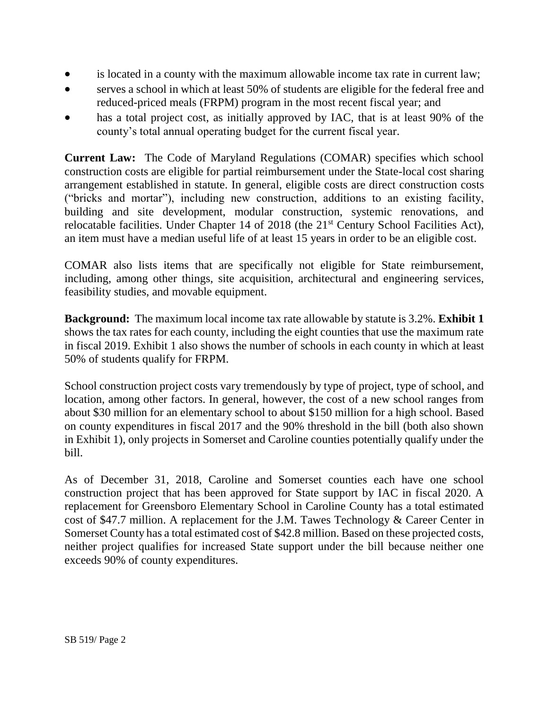- is located in a county with the maximum allowable income tax rate in current law;
- serves a school in which at least 50% of students are eligible for the federal free and reduced-priced meals (FRPM) program in the most recent fiscal year; and
- has a total project cost, as initially approved by IAC, that is at least 90% of the county's total annual operating budget for the current fiscal year.

**Current Law:** The Code of Maryland Regulations (COMAR) specifies which school construction costs are eligible for partial reimbursement under the State-local cost sharing arrangement established in statute. In general, eligible costs are direct construction costs ("bricks and mortar"), including new construction, additions to an existing facility, building and site development, modular construction, systemic renovations, and relocatable facilities. Under Chapter 14 of 2018 (the 21<sup>st</sup> Century School Facilities Act), an item must have a median useful life of at least 15 years in order to be an eligible cost.

COMAR also lists items that are specifically not eligible for State reimbursement, including, among other things, site acquisition, architectural and engineering services, feasibility studies, and movable equipment.

**Background:** The maximum local income tax rate allowable by statute is 3.2%. **Exhibit 1** shows the tax rates for each county, including the eight counties that use the maximum rate in fiscal 2019. Exhibit 1 also shows the number of schools in each county in which at least 50% of students qualify for FRPM.

School construction project costs vary tremendously by type of project, type of school, and location, among other factors. In general, however, the cost of a new school ranges from about \$30 million for an elementary school to about \$150 million for a high school. Based on county expenditures in fiscal 2017 and the 90% threshold in the bill (both also shown in Exhibit 1), only projects in Somerset and Caroline counties potentially qualify under the bill.

As of December 31, 2018, Caroline and Somerset counties each have one school construction project that has been approved for State support by IAC in fiscal 2020. A replacement for Greensboro Elementary School in Caroline County has a total estimated cost of \$47.7 million. A replacement for the J.M. Tawes Technology & Career Center in Somerset County has a total estimated cost of \$42.8 million. Based on these projected costs, neither project qualifies for increased State support under the bill because neither one exceeds 90% of county expenditures.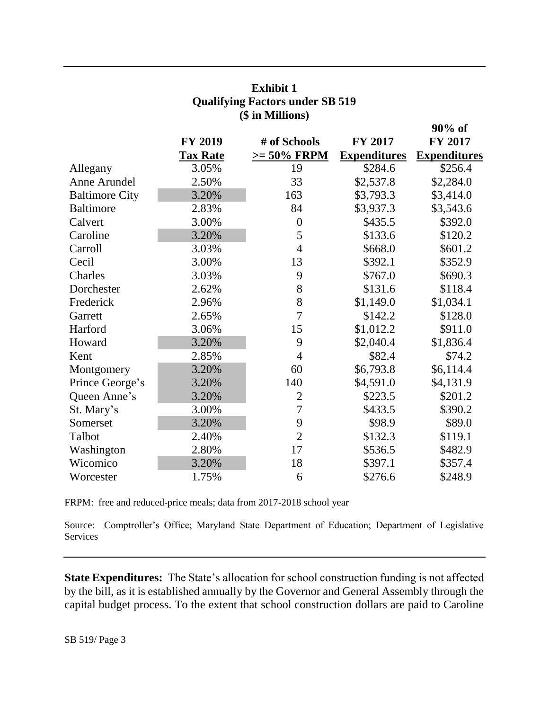|                       | <b>FY 2019</b>  | # of Schools   | <b>FY 2017</b>      | $90\%$ of<br>FY 2017 |
|-----------------------|-----------------|----------------|---------------------|----------------------|
|                       | <b>Tax Rate</b> | $>= 50\%$ FRPM | <b>Expenditures</b> | <b>Expenditures</b>  |
| Allegany              | 3.05%           | 19             | \$284.6             | \$256.4              |
| Anne Arundel          | 2.50%           | 33             | \$2,537.8           | \$2,284.0            |
| <b>Baltimore City</b> | 3.20%           | 163            | \$3,793.3           | \$3,414.0            |
| <b>Baltimore</b>      | 2.83%           | 84             | \$3,937.3           | \$3,543.6            |
| Calvert               | 3.00%           | $\overline{0}$ | \$435.5             | \$392.0              |
| Caroline              | 3.20%           | 5              | \$133.6             | \$120.2              |
| Carroll               | 3.03%           | $\overline{4}$ | \$668.0             | \$601.2              |
| Cecil                 | 3.00%           | 13             | \$392.1             | \$352.9              |
| Charles               | 3.03%           | 9              | \$767.0             | \$690.3              |
| Dorchester            | 2.62%           | 8              | \$131.6             | \$118.4              |
| Frederick             | 2.96%           | 8              | \$1,149.0           | \$1,034.1            |
| Garrett               | 2.65%           | $\overline{7}$ | \$142.2             | \$128.0              |
| Harford               | 3.06%           | 15             | \$1,012.2           | \$911.0              |
| Howard                | 3.20%           | 9              | \$2,040.4           | \$1,836.4            |
| Kent                  | 2.85%           | $\overline{4}$ | \$82.4              | \$74.2               |
| Montgomery            | 3.20%           | 60             | \$6,793.8           | \$6,114.4            |
| Prince George's       | 3.20%           | 140            | \$4,591.0           | \$4,131.9            |
| Queen Anne's          | 3.20%           | $\overline{2}$ | \$223.5             | \$201.2              |
| St. Mary's            | 3.00%           | 7              | \$433.5             | \$390.2              |
| Somerset              | 3.20%           | 9              | \$98.9              | \$89.0               |
| Talbot                | 2.40%           | $\overline{2}$ | \$132.3             | \$119.1              |
| Washington            | 2.80%           | 17             | \$536.5             | \$482.9              |
| Wicomico              | 3.20%           | 18             | \$397.1             | \$357.4              |
| Worcester             | 1.75%           | 6              | \$276.6             | \$248.9              |

### **Exhibit 1 Qualifying Factors under SB 519 (\$ in Millions)**

FRPM: free and reduced-price meals; data from 2017-2018 school year

Source: Comptroller's Office; Maryland State Department of Education; Department of Legislative Services

**State Expenditures:** The State's allocation for school construction funding is not affected by the bill, as it is established annually by the Governor and General Assembly through the capital budget process. To the extent that school construction dollars are paid to Caroline